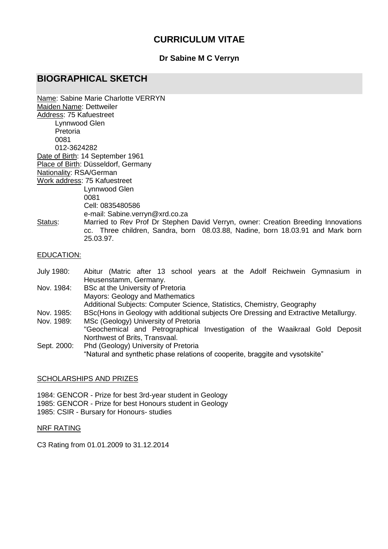# **CURRICULUM VITAE**

### **Dr Sabine M C Verryn**

# **BIOGRAPHICAL SKETCH**

|                         | Name: Sabine Marie Charlotte VERRYN                                               |
|-------------------------|-----------------------------------------------------------------------------------|
| Maiden Name: Dettweiler |                                                                                   |
| Address: 75 Kafuestreet |                                                                                   |
| Lynnwood Glen           |                                                                                   |
| Pretoria                |                                                                                   |
| 0081                    |                                                                                   |
| 012-3624282             |                                                                                   |
|                         | Date of Birth: 14 September 1961                                                  |
|                         | Place of Birth: Düsseldorf, Germany                                               |
| Nationality: RSA/German |                                                                                   |
|                         | Work address: 75 Kafuestreet                                                      |
|                         | Lynnwood Glen                                                                     |
|                         | 0081                                                                              |
|                         | Cell: 0835480586                                                                  |
|                         | e-mail: Sabine.verryn@xrd.co.za                                                   |
| Status:                 | Married to Rev Prof Dr Stephen David Verryn, owner: Creation Breeding Innovations |
|                         | cc. Three children, Sandra, born 08.03.88, Nadine, born 18.03.91 and Mark born    |
|                         | 25.03.97.                                                                         |
|                         |                                                                                   |
| EDUCATION:              |                                                                                   |
|                         |                                                                                   |

- July 1980: Abitur (Matric after 13 school years at the Adolf Reichwein Gymnasium in Heusenstamm, Germany. Nov. 1984: BSc at the University of Pretoria Mayors: Geology and Mathematics Additional Subjects: Computer Science, Statistics, Chemistry, Geography Nov. 1985: BSc(Hons in Geology with additional subjects Ore Dressing and Extractive Metallurgy. Nov. 1989: MSc (Geology) University of Pretoria "Geochemical and Petrographical Investigation of the Waaikraal Gold Deposit Northwest of Brits, Transvaal.
- Sept. 2000: Phd (Geology) University of Pretoria "Natural and synthetic phase relations of cooperite, braggite and vysotskite"

#### SCHOLARSHIPS AND PRIZES

1984: GENCOR - Prize for best 3rd-year student in Geology 1985: GENCOR - Prize for best Honours student in Geology 1985: CSIR - Bursary for Honours- studies

#### NRF RATING

C3 Rating from 01.01.2009 to 31.12.2014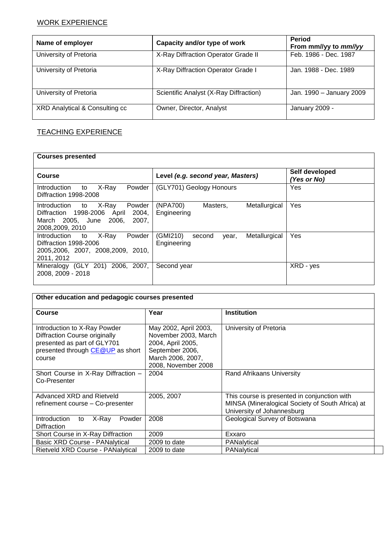## WORK EXPERIENCE

| Name of employer               | Capacity and/or type of work           | <b>Period</b><br>From mm//yy to mm//yy |
|--------------------------------|----------------------------------------|----------------------------------------|
| University of Pretoria         | X-Ray Diffraction Operator Grade II    | Feb. 1986 - Dec. 1987                  |
| University of Pretoria         | X-Ray Diffraction Operator Grade I     | Jan. 1988 - Dec. 1989                  |
| University of Pretoria         | Scientific Analyst (X-Ray Diffraction) | Jan. 1990 - January 2009               |
| XRD Analytical & Consulting cc | Owner, Director, Analyst               | January 2009 -                         |

## TEACHING EXPERIENCE

| <b>Courses presented</b>                                                                                                            |                                                             |                               |  |  |  |  |
|-------------------------------------------------------------------------------------------------------------------------------------|-------------------------------------------------------------|-------------------------------|--|--|--|--|
| Course                                                                                                                              | Level (e.g. second year, Masters)                           | Self developed<br>(Yes or No) |  |  |  |  |
| X-Ray<br>Introduction<br>Powder<br>to<br>Diffraction 1998-2008                                                                      | (GLY701) Geology Honours                                    | Yes                           |  |  |  |  |
| X-Ray<br>Introduction to<br>Powder<br>Diffraction 1998-2006<br>2004,<br>April<br>March 2005. June 2006.<br>2007.<br>2008,2009, 2010 | (NPA700)<br>Metallurgical<br>Masters,<br>Engineering        | Yes                           |  |  |  |  |
| X-Ray<br>Introduction<br>Powder<br>to<br>Diffraction 1998-2006<br>2005, 2006, 2007, 2008, 2009, 2010,<br>2011, 2012                 | (GMI210)<br>Metallurgical<br>second<br>year,<br>Engineering | Yes                           |  |  |  |  |
| Mineralogy (GLY 201) 2006, 2007,<br>2008, 2009 - 2018                                                                               | Second year                                                 | XRD - yes                     |  |  |  |  |

| Other education and pedagogic courses presented                                                                                            |                                                                                                                                   |                                                                                                                                |  |  |  |  |
|--------------------------------------------------------------------------------------------------------------------------------------------|-----------------------------------------------------------------------------------------------------------------------------------|--------------------------------------------------------------------------------------------------------------------------------|--|--|--|--|
| Course                                                                                                                                     | Year                                                                                                                              | <b>Institution</b>                                                                                                             |  |  |  |  |
| Introduction to X-Ray Powder<br>Diffraction Course originally<br>presented as part of GLY701<br>presented through CE@UP as short<br>course | May 2002, April 2003,<br>November 2003, March<br>2004, April 2005,<br>September 2006,<br>March 2006, 2007,<br>2008, November 2008 | University of Pretoria                                                                                                         |  |  |  |  |
| Short Course in X-Ray Diffraction -<br>Co-Presenter                                                                                        | 2004                                                                                                                              | Rand Afrikaans University                                                                                                      |  |  |  |  |
| Advanced XRD and Rietveld<br>refinement course - Co-presenter                                                                              | 2005, 2007                                                                                                                        | This course is presented in conjunction with<br>MINSA (Mineralogical Society of South Africa) at<br>University of Johannesburg |  |  |  |  |
| Introduction<br>X-Ray<br>Powder<br>to<br><b>Diffraction</b>                                                                                | 2008                                                                                                                              | Geological Survey of Botswana                                                                                                  |  |  |  |  |
| Short Course in X-Ray Diffraction                                                                                                          | 2009                                                                                                                              | Exxaro                                                                                                                         |  |  |  |  |
| <b>Basic XRD Course - PANalytical</b>                                                                                                      | 2009 to date                                                                                                                      | PANalytical                                                                                                                    |  |  |  |  |
| Rietveld XRD Course - PANalytical                                                                                                          | 2009 to date                                                                                                                      | PANalytical                                                                                                                    |  |  |  |  |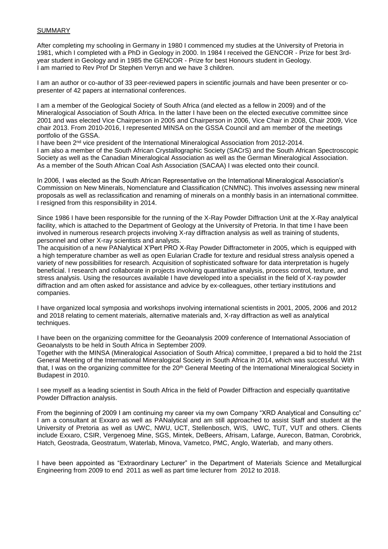#### **SUMMARY**

After completing my schooling in Germany in 1980 I commenced my studies at the University of Pretoria in 1981, which I completed with a PhD in Geology in 2000. In 1984 I received the GENCOR - Prize for best 3rdyear student in Geology and in 1985 the GENCOR - Prize for best Honours student in Geology. I am married to Rev Prof Dr Stephen Verryn and we have 3 children.

I am an author or co-author of 33 peer-reviewed papers in scientific journals and have been presenter or copresenter of 42 papers at international conferences.

I am a member of the Geological Society of South Africa (and elected as a fellow in 2009) and of the Mineralogical Association of South Africa. In the latter I have been on the elected executive committee since 2001 and was elected Vice Chairperson in 2005 and Chairperson in 2006, Vice Chair in 2008, Chair 2009, Vice chair 2013. From 2010-2016, I represented MINSA on the GSSA Council and am member of the meetings portfolio of the GSSA.

I have been 2<sup>nd</sup> vice president of the International Mineralogical Association from 2012-2014. I am also a member of the South African Crystallographic Society (SACrS) and the South African Spectroscopic Society as well as the Canadian Mineralogical Association as well as the German Mineralogical Association. As a member of the South African Coal Ash Association (SACAA) I was elected onto their council.

In 2006, I was elected as the South African Representative on the International Mineralogical Association's Commission on New Minerals, Nomenclature and Classification (CNMNC). This involves assessing new mineral proposals as well as reclassification and renaming of minerals on a monthly basis in an international committee. I resigned from this responsibility in 2014.

Since 1986 I have been responsible for the running of the X-Ray Powder Diffraction Unit at the X-Ray analytical facility, which is attached to the Department of Geology at the University of Pretoria. In that time I have been involved in numerous research projects involving X-ray diffraction analysis as well as training of students, personnel and other X-ray scientists and analysts.

The acquisition of a new PANalytical X'Pert PRO X-Ray Powder Diffractometer in 2005, which is equipped with a high temperature chamber as well as open Eularian Cradle for texture and residual stress analysis opened a variety of new possibilities for research. Acquisition of sophisticated software for data interpretation is hugely beneficial. I research and collaborate in projects involving quantitative analysis, process control, texture, and stress analysis. Using the resources available I have developed into a specialist in the field of X-ray powder diffraction and am often asked for assistance and advice by ex-colleagues, other tertiary institutions and companies.

I have organized local symposia and workshops involving international scientists in 2001, 2005, 2006 and 2012 and 2018 relating to cement materials, alternative materials and, X-ray diffraction as well as analytical techniques.

I have been on the organizing committee for the Geoanalysis 2009 conference of International Association of Geoanalysts to be held in South Africa in September 2009.

Together with the MINSA (Mineralogical Association of South Africa) committee, I prepared a bid to hold the 21st General Meeting of the International Mineralogical Society in South Africa in 2014, which was successful. With that, I was on the organizing committee for the 20<sup>th</sup> General Meeting of the International Mineralogical Society in Budapest in 2010.

I see myself as a leading scientist in South Africa in the field of Powder Diffraction and especially quantitative Powder Diffraction analysis.

From the beginning of 2009 I am continuing my career via my own Company "XRD Analytical and Consulting cc" I am a consultant at Exxaro as well as PANalytical and am still approached to assist Staff and student at the University of Pretoria as well as UWC, NWU, UCT, Stellenbosch, WIS, UWC, TUT, VUT and others. Clients include Exxaro, CSIR, Vergenoeg Mine, SGS, Mintek, DeBeers, Afrisam, Lafarge, Aurecon, Batman, Corobrick, Hatch, Geostrada, Geostratum, Waterlab, Minova, Vametco, PMC, Anglo, Waterlab, and many others.

I have been appointed as "Extraordinary Lecturer" in the Department of Materials Science and Metallurgical Engineering from 2009 to end 2011 as well as part time lecturer from 2012 to 2018.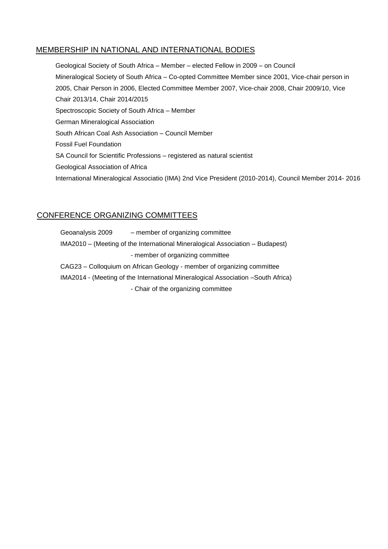### MEMBERSHIP IN NATIONAL AND INTERNATIONAL BODIES

Geological Society of South Africa – Member – elected Fellow in 2009 – on Council Mineralogical Society of South Africa – Co-opted Committee Member since 2001, Vice-chair person in 2005, Chair Person in 2006, Elected Committee Member 2007, Vice-chair 2008, Chair 2009/10, Vice Chair 2013/14, Chair 2014/2015 Spectroscopic Society of South Africa – Member German Mineralogical Association South African Coal Ash Association – Council Member Fossil Fuel Foundation SA Council for Scientific Professions – registered as natural scientist Geological Association of Africa International Mineralogical Associatio (IMA) 2nd Vice President (2010-2014), Council Member 2014- 2016

### CONFERENCE ORGANIZING COMMITTEES

Geoanalysis 2009 – member of organizing committee IMA2010 – (Meeting of the International Mineralogical Association – Budapest) - member of organizing committee CAG23 – Colloquium on African Geology - member of organizing committee IMA2014 - (Meeting of the International Mineralogical Association –South Africa)

- Chair of the organizing committee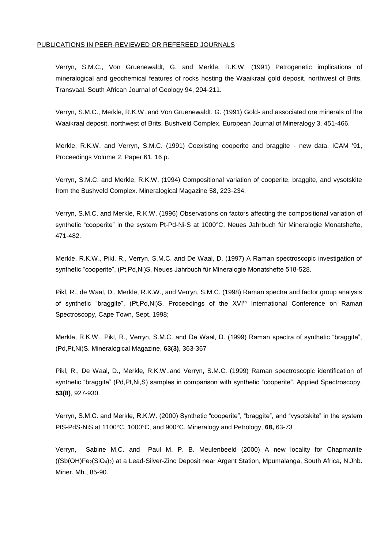#### PUBLICATIONS IN PEER-REVIEWED OR REFEREED JOURNALS

Verryn, S.M.C., Von Gruenewaldt, G. and Merkle, R.K.W. (1991) Petrogenetic implications of mineralogical and geochemical features of rocks hosting the Waaikraal gold deposit, northwest of Brits, Transvaal. South African Journal of Geology 94, 204-211.

Verryn, S.M.C., Merkle, R.K.W. and Von Gruenewaldt, G. (1991) Gold- and associated ore minerals of the Waaikraal deposit, northwest of Brits, Bushveld Complex. European Journal of Mineralogy 3, 451-466.

Merkle, R.K.W. and Verryn, S.M.C. (1991) Coexisting cooperite and braggite - new data. ICAM '91, Proceedings Volume 2, Paper 61, 16 p.

Verryn, S.M.C. and Merkle, R.K.W. (1994) Compositional variation of cooperite, braggite, and vysotskite from the Bushveld Complex. Mineralogical Magazine 58, 223-234.

Verryn, S.M.C. and Merkle, R.K.W. (1996) Observations on factors affecting the compositional variation of synthetic "cooperite" in the system Pt-Pd-Ni-S at 1000°C. Neues Jahrbuch für Mineralogie Monatshefte, 471-482.

Merkle, R.K.W., Pikl, R., Verryn, S.M.C. and De Waal, D. (1997) A Raman spectroscopic investigation of synthetic "cooperite", (Pt,Pd,Ni)S. Neues Jahrbuch für Mineralogie Monatshefte 518-528.

Pikl, R., de Waal, D., Merkle, R.K.W., and Verryn, S.M.C. (1998) Raman spectra and factor group analysis of synthetic "braggite", (Pt,Pd,Ni)S. Proceedings of the XVI<sup>th</sup> International Conference on Raman Spectroscopy, Cape Town, Sept. 1998;

Merkle, R.K.W., Pikl, R., Verryn, S.M.C. and De Waal, D. (1999) Raman spectra of synthetic "braggite", (Pd,Pt,Ni)S. Mineralogical Magazine, **63(3)**, 363-367

Pikl, R., De Waal, D., Merkle, R.K.W..and Verryn, S.M.C. (1999) Raman spectroscopic identification of synthetic "braggite" (Pd,Pt,Ni,S) samples in comparison with synthetic "cooperite". Applied Spectroscopy, **53(8)**, 927-930.

Verryn, S.M.C. and Merkle, R.K.W. (2000) Synthetic "cooperite", "braggite", and "vysotskite" in the system PtS-PdS-NiS at 1100°C, 1000°C, and 900°C. Mineralogy and Petrology, **68,** 63-73

Verryn, Sabine M.C. and Paul M. P. B. Meulenbeeld (2000) A new locality for Chapmanite ((Sb(OH)Fe2(SiO4)2) at a Lead-Silver-Zinc Deposit near Argent Station, Mpumalanga, South Africa**,** N.Jhb. Miner. Mh., 85-90.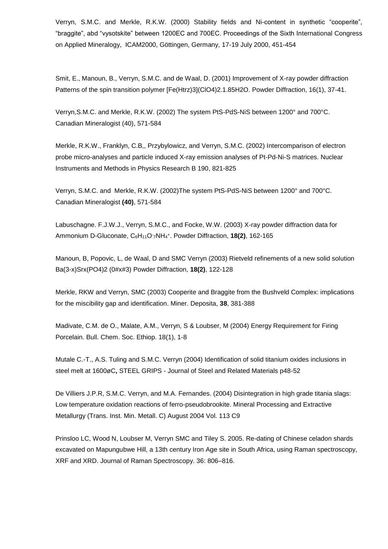Verryn, S.M.C. and Merkle, R.K.W. (2000) Stability fields and Ni-content in synthetic "cooperite", "braggite", abd "vysotskite" between 1200EC and 700EC. Proceedings of the Sixth International Congress on Applied Mineralogy, ICAM2000, Göttingen, Germany, 17-19 July 2000, 451-454

Smit, E., Manoun, B., Verryn, S.M.C. and de Waal, D. (2001) Improvement of X-ray powder diffraction Patterns of the spin transition polymer [Fe(Htrz)3](ClO4)2.1.85H2O. Powder Diffraction, 16(1), 37-41.

Verryn,S.M.C. and Merkle, R.K.W. (2002) The system PtS-PdS-NiS between 1200° and 700°C. Canadian Mineralogist (40), 571-584

Merkle, R.K.W., Franklyn, C.B,, Przybylowicz, and Verryn, S.M.C. (2002) Intercomparison of electron probe micro-analyses and particle induced X-ray emission analyses of Pt-Pd-Ni-S matrices. Nuclear Instruments and Methods in Physics Research B 190, 821-825

Verryn, S.M.C. and Merkle, R.K.W. (2002)The system PtS-PdS-NiS between 1200° and 700°C. Canadian Mineralogist **(40)**, 571-584

Labuschagne. F.J.W.J., Verryn, S.M.C., and Focke, W.W. (2003) X-ray powder diffraction data for Ammonium D-Gluconate, C6H11O-<sup>7</sup>NH<sup>4</sup> + . Powder Diffraction, **18(2)**, 162-165

Manoun, B, Popovic, L, de Waal, D and SMC Verryn (2003) Rietveld refinements of a new solid solution Ba(3-x)Srx(PO4)2 (0#x#3) Powder Diffraction, **18(2)**, 122-128

Merkle, RKW and Verryn, SMC (2003) Cooperite and Braggite from the Bushveld Complex: implications for the miscibility gap and identification. Miner. Deposita, **38**, 381-388

Madivate, C.M. de O., Malate, A.M., Verryn, S & Loubser, M (2004) Energy Requirement for Firing Porcelain. Bull. Chem. Soc. Ethiop. 18(1), 1-8

Mutale C.-T., A.S. Tuling and S.M.C. Verryn (2004) Identification of solid titanium oxides inclusions in steel melt at 1600øC**,** STEEL GRIPS - Journal of Steel and Related Materials p48-52

De Villiers J.P.R, S.M.C. Verryn, and M.A. Fernandes. (2004) Disintegration in high grade titania slags: Low temperature oxidation reactions of ferro-pseudobrookite. Mineral Processing and Extractive Metallurgy (Trans. Inst. Min. Metall. C) August 2004 Vol. 113 C9

Prinsloo LC, Wood N, Loubser M, Verryn SMC and Tiley S. 2005. Re-dating of Chinese celadon shards excavated on Mapungubwe Hill, a 13th century Iron Age site in South Africa, using Raman spectroscopy, XRF and XRD. Journal of Raman Spectroscopy. 36: 806–816.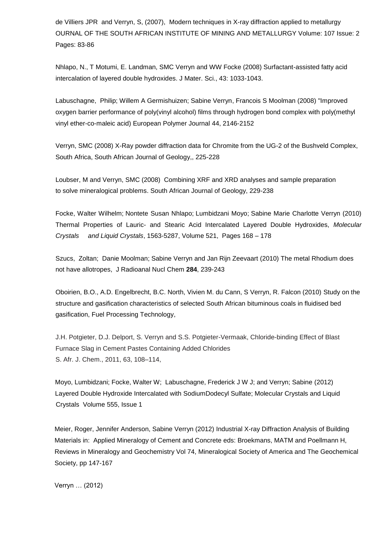de Villiers JPR and Verryn, S, (2007), Modern techniques in X-ray diffraction applied to metallurgy OURNAL OF THE SOUTH AFRICAN INSTITUTE OF MINING AND METALLURGY Volume: 107 Issue: 2 Pages: 83-86

Nhlapo, N., T Motumi, E. Landman, SMC Verryn and WW Focke (2008) Surfactant-assisted fatty acid intercalation of layered double hydroxides. J Mater. Sci., 43: 1033-1043.

Labuschagne, Philip; Willem A Germishuizen; Sabine Verryn, Francois S Moolman (2008) "Improved oxygen barrier performance of poly(vinyl alcohol) films through hydrogen bond complex with poly(methyl vinyl ether-co-maleic acid) European Polymer Journal 44, 2146-2152

Verryn, SMC (2008) X-Ray powder diffraction data for Chromite from the UG-2 of the Bushveld Complex, South Africa, South African Journal of Geology,, 225-228

Loubser, M and Verryn, SMC (2008) Combining XRF and XRD analyses and sample preparation to solve mineralogical problems. South African Journal of Geology, 229-238

Focke, Walter Wilhelm; Nontete Susan Nhlapo; Lumbidzani Moyo; Sabine Marie Charlotte Verryn (2010) Thermal Properties of Lauric- and Stearic Acid Intercalated Layered Double Hydroxides, *Molecular Crystals and Liquid Crystals*, 1563-5287, Volume 521, Pages 168 – 178

Szucs, Zoltan; Danie Moolman; Sabine Verryn and Jan Rijn Zeevaart (2010) The metal Rhodium does not have allotropes, J Radioanal Nucl Chem **284**, 239-243

Oboirien, B.O., A.D. Engelbrecht, B.C. North, Vivien M. du Cann, S Verryn, R. Falcon (2010) Study on the structure and gasification characteristics of selected South African bituminous coals in fluidised bed gasification, Fuel Processing Technology,

J.H. Potgieter, D.J. Delport, S. Verryn and S.S. Potgieter-Vermaak, Chloride-binding Effect of Blast Furnace Slag in Cement Pastes Containing Added Chlorides S. Afr. J. Chem., 2011, 63, 108–114,

Moyo, Lumbidzani; Focke, Walter W; Labuschagne, Frederick J W J; and Verryn; Sabine (2012) Layered Double Hydroxide Intercalated with SodiumDodecyl Sulfate; Molecular Crystals and Liquid Crystals[Volume 555,](http://www.tandfonline.com/loi/gmcl20?open=555#vol_555) [Issue 1](http://www.tandfonline.com/toc/gmcl20/555/1)

Meier, Roger, Jennifer Anderson, Sabine Verryn (2012) Industrial X-ray Diffraction Analysis of Building Materials in: Applied Mineralogy of Cement and Concrete eds: Broekmans, MATM and Poellmann H, Reviews in Mineralogy and Geochemistry Vol 74, Mineralogical Society of America and The Geochemical Society, pp 147-167

Verryn … (2012)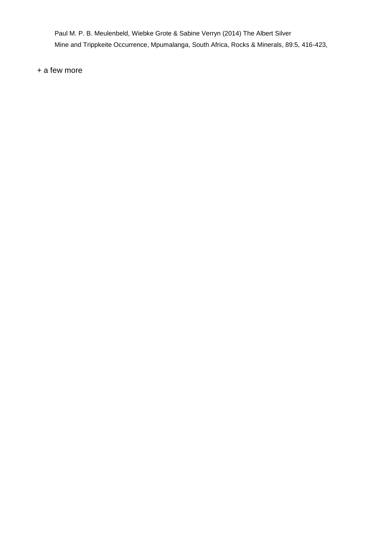Paul M. P. B. Meulenbeld, Wiebke Grote & Sabine Verryn (2014) The Albert Silver Mine and Trippkeite Occurrence, Mpumalanga, South Africa, Rocks & Minerals, 89:5, 416-423,

+ a few more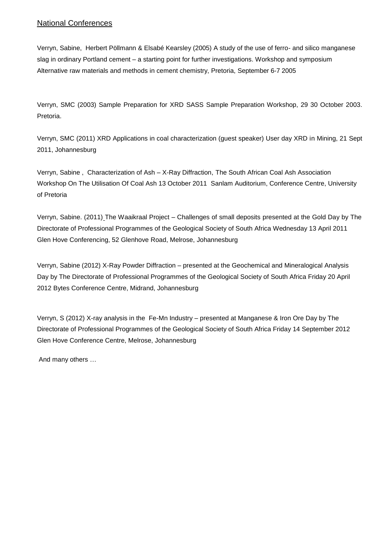## National Conferences

Verryn, Sabine, Herbert Pöllmann & Elsabé Kearsley (2005) A study of the use of ferro- and silico manganese slag in ordinary Portland cement – a starting point for further investigations. Workshop and symposium Alternative raw materials and methods in cement chemistry, Pretoria, September 6-7 2005

Verryn, SMC (2003) Sample Preparation for XRD SASS Sample Preparation Workshop, 29 30 October 2003. Pretoria.

Verryn, SMC (2011) XRD Applications in coal characterization (guest speaker) User day XRD in Mining, 21 Sept 2011, Johannesburg

Verryn, Sabine , Characterization of Ash – X-Ray Diffraction, The South African Coal Ash Association Workshop On The Utilisation Of Coal Ash 13 October 2011 Sanlam Auditorium, Conference Centre, University of Pretoria

Verryn, Sabine. (2011) The Waaikraal Project – Challenges of small deposits presented at the Gold Day by The Directorate of Professional Programmes of the Geological Society of South Africa Wednesday 13 April 2011 Glen Hove Conferencing, 52 Glenhove Road, Melrose, Johannesburg

Verryn, Sabine (2012) X-Ray Powder Diffraction – presented at the Geochemical and Mineralogical Analysis Day by The Directorate of Professional Programmes of the Geological Society of South Africa Friday 20 April 2012 Bytes Conference Centre, Midrand, Johannesburg

Verryn, S (2012) X-ray analysis in the Fe-Mn Industry – presented at Manganese & Iron Ore Day by The Directorate of Professional Programmes of the Geological Society of South Africa Friday 14 September 2012 Glen Hove Conference Centre, Melrose, Johannesburg

And many others …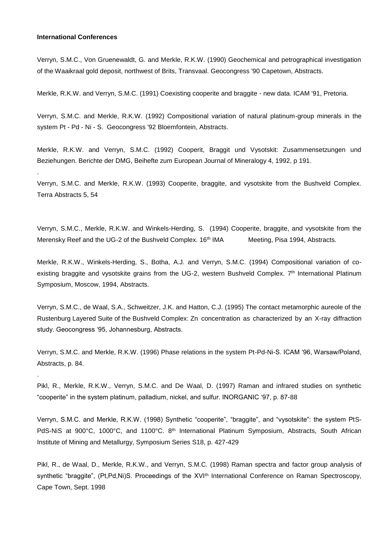#### **International Conferences**

.

.

Verryn, S.M.C., Von Gruenewaldt, G. and Merkle, R.K.W. (1990) Geochemical and petrographical investigation of the Waaikraal gold deposit, northwest of Brits, Transvaal. Geocongress '90 Capetown, Abstracts.

Merkle, R.K.W. and Verryn, S.M.C. (1991) Coexisting cooperite and braggite - new data. ICAM '91, Pretoria.

Verryn, S.M.C. and Merkle, R.K.W. (1992) Compositional variation of natural platinum-group minerals in the system Pt - Pd - Ni - S. Geocongress '92 Bloemfontein, Abstracts.

Merkle, R.K.W. and Verryn, S.M.C. (1992) Cooperit, Braggit und Vysotskit: Zusammensetzungen und Beziehungen. Berichte der DMG, Beihefte zum European Journal of Mineralogy 4, 1992, p 191.

Verryn, S.M.C. and Merkle, R.K.W. (1993) Cooperite, braggite, and vysotskite from the Bushveld Complex. Terra Abstracts 5, 54

Verryn, S.M.C., Merkle, R.K.W. and Winkels-Herding, S. (1994) Cooperite, braggite, and vysotskite from the Merensky Reef and the UG-2 of the Bushveld Complex. 16<sup>th</sup> IMA Meeting, Pisa 1994, Abstracts.

Merkle, R.K.W., Winkels-Herding, S., Botha, A.J. and Verryn, S.M.C. (1994) Compositional variation of coexisting braggite and vysotskite grains from the UG-2, western Bushveld Complex. 7<sup>th</sup> International Platinum Symposium, Moscow, 1994, Abstracts.

Verryn, S.M.C., de Waal, S.A., Schweitzer, J.K. and Hatton, C.J. (1995) The contact metamorphic aureole of the Rustenburg Layered Suite of the Bushveld Complex: Zn concentration as characterized by an X-ray diffraction study. Geocongress '95, Johannesburg, Abstracts.

Verryn, S.M.C. and Merkle, R.K.W. (1996) Phase relations in the system Pt-Pd-Ni-S. ICAM '96, Warsaw/Poland, Abstracts, p. 84.

Pikl, R., Merkle, R.K.W., Verryn, S.M.C. and De Waal, D. (1997) Raman and infrared studies on synthetic "cooperite" in the system platinum, palladium, nickel, and sulfur. INORGANIC '97, p. 87-88

Verryn, S.M.C. and Merkle, R.K.W. (1998) Synthetic "cooperite", "braggite", and "vysotskite": the system PtS-PdS-NiS at 900°C, 1000°C, and 1100°C. 8<sup>th</sup> International Platinum Symposium, Abstracts, South African Institute of Mining and Metallurgy, Symposium Series S18, p. 427-429

Pikl, R., de Waal, D., Merkle, R.K.W., and Verryn, S.M.C. (1998) Raman spectra and factor group analysis of synthetic "braggite", (Pt,Pd,Ni)S. Proceedings of the XVI<sup>th</sup> International Conference on Raman Spectroscopy, Cape Town, Sept. 1998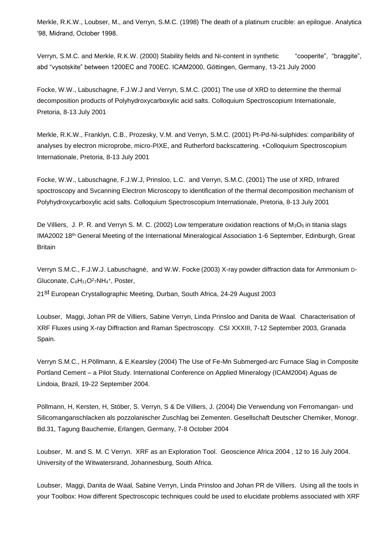Merkle, R.K.W., Loubser, M., and Verryn, S.M.C. (1998) The death of a platinum crucible: an epilogue. Analytica '98, Midrand, October 1998.

Verryn, S.M.C. and Merkle, R.K.W. (2000) Stability fields and Ni-content in synthetic "cooperite", "braggite", abd "vysotskite" between 1200EC and 700EC. ICAM2000, Göttingen, Germany, 13-21 July 2000

Focke, W.W., Labuschagne, F.J.W.J and Verryn, S.M.C. (2001) The use of XRD to determine the thermal decomposition products of Polyhydroxycarboxylic acid salts. Colloquium Spectroscopium Internationale, Pretoria, 8-13 July 2001

Merkle, R.K.W., Franklyn, C.B., Prozesky, V.M. and Verryn, S.M.C. (2001) Pt-Pd-Ni-sulphides: comparibility of analyses by electron microprobe, micro-PIXE, and Rutherford backscattering. +Colloquium Spectroscopium Internationale, Pretoria, 8-13 July 2001

Focke, W.W., Labuschagne, F.J.W.J, Prinsloo, L.C. and Verryn, S.M.C. (2001) The use of XRD, Infrared spoctroscopy and Svcanning Electron Microscopy to identification of the thermal decomposition mechanism of Polyhydroxycarboxylic acid salts. Colloquium Spectroscopium Internationale, Pretoria, 8-13 July 2001

De Villiers, J. P. R. and Verryn S. M. C. (2002) Low temperature oxidation reactions of  $M_3O_5$  in titania slags IMA2002 18th General Meeting of the International Mineralogical Association 1-6 September, Edinburgh, Great **Britain** 

Verryn S.M.C., F.J.W.J. Labuschagné, and W.W. Focke (2003) X-ray powder diffraction data for Ammonium D-Gluconate, C6H<sub>11</sub>O<sup>2</sup>7NH<sub>4</sub>+, Poster,

21st European Crystallographic Meeting, Durban, South Africa, 24-29 August 2003

Loubser, Maggi, Johan PR de Villiers, Sabine Verryn, Linda Prinsloo and Danita de Waal. Characterisation of XRF Fluxes using X-ray Diffraction and Raman Spectroscopy. CSI XXXIII, 7-12 September 2003, Granada Spain.

Verryn S.M.C., H.Pöllmann, & E.Kearsley (2004) The Use of Fe-Mn Submerged-arc Furnace Slag in Composite Portland Cement – a Pilot Study. International Conference on Applied Mineralogy (ICAM2004) Aguas de Lindoia, Brazil, 19-22 September 2004.

Pöllmann, H, Kersten, H, Stöber, S. Verryn, S & De Villiers, J. (2004) Die Verwendung von Ferromangan- und Silicomanganschlacken als pozzolanischer Zuschlag bei Zementen. Gesellschaft Deutscher Chemiker, Monogr. Bd.31, Tagung Bauchemie, Erlangen, Germany, 7-8 October 2004

Loubser, M. and S. M. C Verryn. XRF as an Exploration Tool. Geoscience Africa 2004 , 12 to 16 July 2004. University of the Witwatersrand, Johannesburg, South Africa.

Loubser, Maggi, Danita de Waal, Sabine Verryn, Linda Prinsloo and Johan PR de Villiers. Using all the tools in your Toolbox: How different Spectroscopic techniques could be used to elucidate problems associated with XRF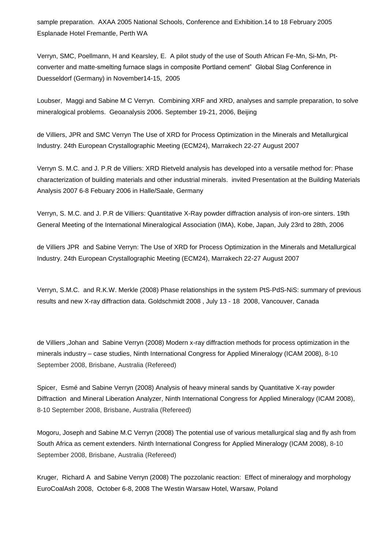sample preparation. AXAA 2005 National Schools, Conference and Exhibition.14 to 18 February 2005 Esplanade Hotel Fremantle, Perth WA

Verryn, SMC, Poellmann, H and Kearsley, E. A pilot study of the use of South African Fe-Mn, Si-Mn, Ptconverter and matte-smelting furnace slags in composite Portland cement" Global Slag Conference in Duesseldorf (Germany) in November14-15, 2005

Loubser, Maggi and Sabine M C Verryn. Combining XRF and XRD, analyses and sample preparation, to solve mineralogical problems. Geoanalysis 2006. September 19-21, 2006, Beijing

de Villiers, JPR and SMC Verryn The Use of XRD for Process Optimization in the Minerals and Metallurgical Industry. 24th European Crystallographic Meeting (ECM24), Marrakech 22-27 August 2007

Verryn S. M.C. and J. P.R de Villiers: XRD Rietveld analysis has developed into a versatile method for: Phase characterization of building materials and other industrial minerals. invited Presentation at the Building Materials Analysis 2007 6-8 Febuary 2006 in Halle/Saale, Germany

Verryn, S. M.C. and J. P.R de Villiers: Quantitative X-Ray powder diffraction analysis of iron-ore sinters. 19th General Meeting of the International Mineralogical Association (IMA), Kobe, Japan, July 23rd to 28th, 2006

de Villiers JPR and Sabine Verryn: The Use of XRD for Process Optimization in the Minerals and Metallurgical Industry. 24th European Crystallographic Meeting (ECM24), Marrakech 22-27 August 2007

Verryn, S.M.C. and R.K.W. Merkle (2008) Phase relationships in the system PtS-PdS-NiS: summary of previous results and new X-ray diffraction data. Goldschmidt 2008 , July 13 - 18 2008, Vancouver, Canada

de Villiers ,Johan and Sabine Verryn (2008) Modern x-ray diffraction methods for process optimization in the minerals industry – case studies, Ninth International Congress for Applied Mineralogy (ICAM 2008), 8-10 September 2008, Brisbane, Australia (Refereed)

Spicer, Esmé and Sabine Verryn (2008) Analysis of heavy mineral sands by Quantitative X-ray powder Diffraction and Mineral Liberation Analyzer, Ninth International Congress for Applied Mineralogy (ICAM 2008), 8-10 September 2008, Brisbane, Australia (Refereed)

Mogoru, Joseph and Sabine M.C Verryn (2008) The potential use of various metallurgical slag and fly ash from South Africa as cement extenders. Ninth International Congress for Applied Mineralogy (ICAM 2008), 8-10 September 2008, Brisbane, Australia (Refereed)

Kruger, Richard A and Sabine Verryn (2008) The pozzolanic reaction: Effect of mineralogy and morphology EuroCoalAsh 2008, October 6-8, 2008 The Westin Warsaw Hotel, Warsaw, Poland